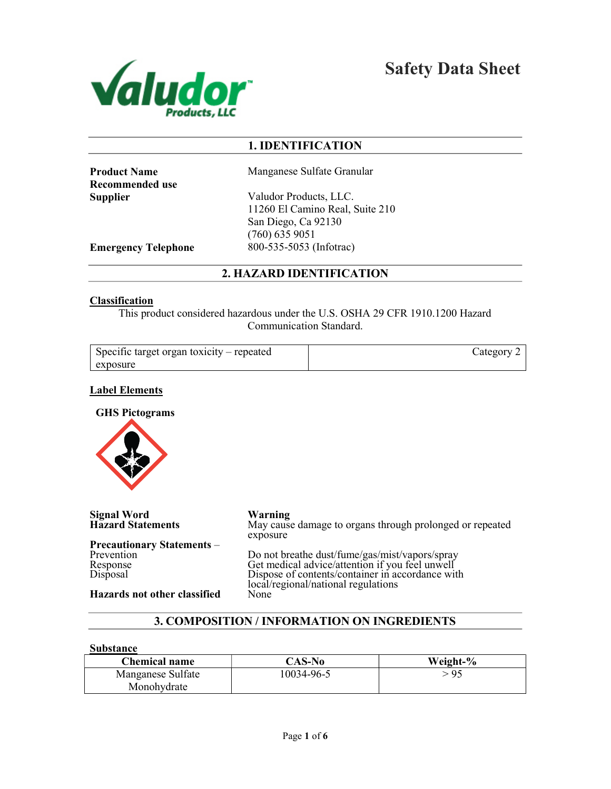

Safety Data Sheet

# 1. IDENTIFICATION

Recommended use

**Product Name** Manganese Sulfate Granular

Supplier Valudor Products, LLC. 11260 El Camino Real, Suite 210 San Diego, Ca 92130 (760) 635 9051 Emergency Telephone 800-535-5053 (Infotrac)

# 2. HAZARD IDENTIFICATION

#### Classification

This product considered hazardous under the U.S. OSHA 29 CFR 1910.1200 Hazard Communication Standard.

| Specific target organ toxicity – repeated | Category |
|-------------------------------------------|----------|
| exposure                                  |          |

#### Label Elements

GHS Pictograms



Signal Word<br>
Hazard Statements<br>
May cause

Precautionary Statements – Prevention Response Disposal

Hazards not other classified

May cause damage to organs through prolonged or repeated exposure

Do not breathe dust/fume/gas/mist/vapors/spray Get medical advice/attention if you feel unwell Dispose of contents/container in accordance with local/regional/national regulations<br>None

# 3. COMPOSITION / INFORMATION ON INGREDIENTS

#### Substance

| <b>Chemical name</b> | CAS-No     | Weight-% |
|----------------------|------------|----------|
| Manganese Sulfate    | 10034-96-5 | >95      |
| Monohydrate          |            |          |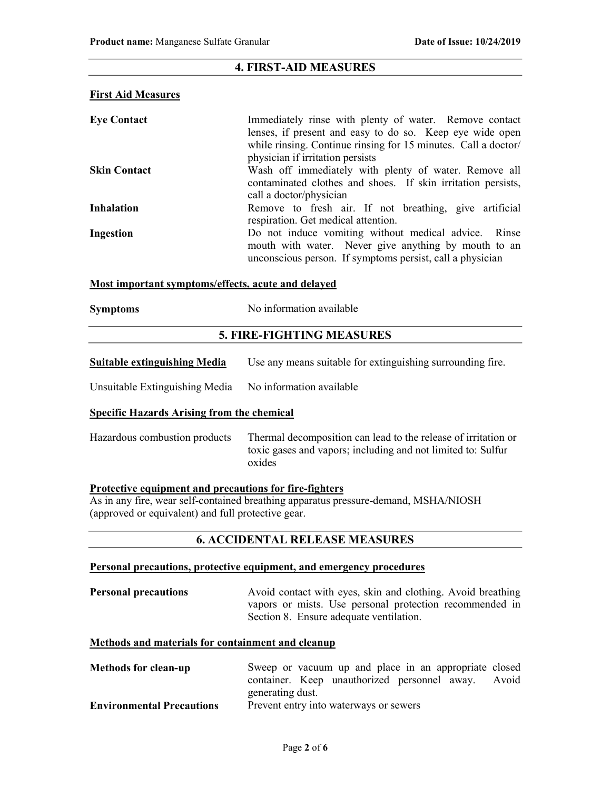## 4. FIRST-AID MEASURES

### First Aid Measures

| <b>Eye Contact</b>  | Immediately rinse with plenty of water. Remove contact<br>lenses, if present and easy to do so. Keep eye wide open<br>while rinsing. Continue rinsing for 15 minutes. Call a doctor/<br>physician if irritation persists |
|---------------------|--------------------------------------------------------------------------------------------------------------------------------------------------------------------------------------------------------------------------|
| <b>Skin Contact</b> | Wash off immediately with plenty of water. Remove all<br>contaminated clothes and shoes. If skin irritation persists,<br>call a doctor/physician                                                                         |
| <b>Inhalation</b>   | Remove to fresh air. If not breathing, give artificial<br>respiration. Get medical attention.                                                                                                                            |
| Ingestion           | Do not induce vomiting without medical advice. Rinse<br>mouth with water. Never give anything by mouth to an<br>unconscious person. If symptoms persist, call a physician                                                |

### Most important symptoms/effects, acute and delayed

| <b>Symptoms</b> | No information available |
|-----------------|--------------------------|
|                 |                          |

# 5. FIRE-FIGHTING MEASURES

| <b>Suitable extinguishing Media</b> | Use any means suitable for extinguishing surrounding fire. |  |  |
|-------------------------------------|------------------------------------------------------------|--|--|
|-------------------------------------|------------------------------------------------------------|--|--|

| Unsuitable Extinguishing Media | No information available |  |
|--------------------------------|--------------------------|--|
|                                |                          |  |

### Specific Hazards Arising from the chemical

| Hazardous combustion products | Thermal decomposition can lead to the release of irritation or |
|-------------------------------|----------------------------------------------------------------|
|                               | toxic gases and vapors; including and not limited to: Sulfur   |
|                               | oxides                                                         |

### Protective equipment and precautions for fire-fighters

As in any fire, wear self-contained breathing apparatus pressure-demand, MSHA/NIOSH (approved or equivalent) and full protective gear.

## 6. ACCIDENTAL RELEASE MEASURES

#### Personal precautions, protective equipment, and emergency procedures

Personal precautions Avoid contact with eyes, skin and clothing. Avoid breathing vapors or mists. Use personal protection recommended in Section 8. Ensure adequate ventilation.

## Methods and materials for containment and cleanup

| <b>Methods for clean-up</b>      | Sweep or vacuum up and place in an appropriate closed |
|----------------------------------|-------------------------------------------------------|
|                                  | container. Keep unauthorized personnel away. Avoid    |
|                                  | generating dust.                                      |
| <b>Environmental Precautions</b> | Prevent entry into waterways or sewers                |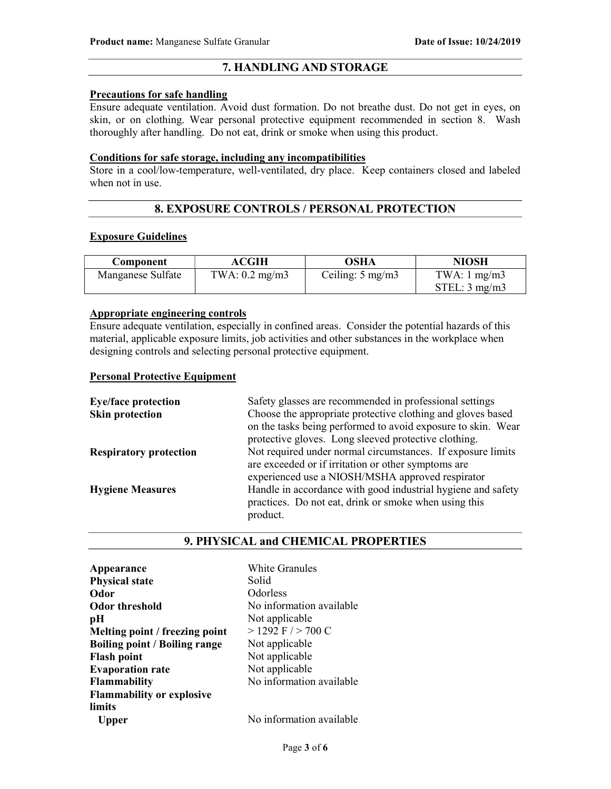# 7. HANDLING AND STORAGE

#### Precautions for safe handling

Ensure adequate ventilation. Avoid dust formation. Do not breathe dust. Do not get in eyes, on skin, or on clothing. Wear personal protective equipment recommended in section 8. Wash thoroughly after handling. Do not eat, drink or smoke when using this product.

### Conditions for safe storage, including any incompatibilities

Store in a cool/low-temperature, well-ventilated, dry place. Keep containers closed and labeled when not in use.

## 8. EXPOSURE CONTROLS / PERSONAL PROTECTION

#### Exposure Guidelines

| Component         | <b>ACGIH</b>            | OSHA                      | <b>NIOSH</b>            |
|-------------------|-------------------------|---------------------------|-------------------------|
| Manganese Sulfate | TWA: $0.2 \text{ mg/m}$ | Ceiling: $5 \text{ mg/m}$ | TWA: $1 \text{ mg/m}$ 3 |
|                   |                         |                           | STEL: 3 mg/m3           |

## Appropriate engineering controls

Ensure adequate ventilation, especially in confined areas. Consider the potential hazards of this material, applicable exposure limits, job activities and other substances in the workplace when designing controls and selecting personal protective equipment.

#### Personal Protective Equipment

| <b>Eye/face protection</b>    | Safety glasses are recommended in professional settings      |
|-------------------------------|--------------------------------------------------------------|
| <b>Skin protection</b>        | Choose the appropriate protective clothing and gloves based  |
|                               | on the tasks being performed to avoid exposure to skin. Wear |
|                               | protective gloves. Long sleeved protective clothing.         |
| <b>Respiratory protection</b> | Not required under normal circumstances. If exposure limits  |
|                               | are exceeded or if irritation or other symptoms are          |
|                               | experienced use a NIOSH/MSHA approved respirator             |
| <b>Hygiene Measures</b>       | Handle in accordance with good industrial hygiene and safety |
|                               | practices. Do not eat, drink or smoke when using this        |
|                               | product.                                                     |

#### 9. PHYSICAL and CHEMICAL PROPERTIES

| Appearance                           | White Granules           |
|--------------------------------------|--------------------------|
| <b>Physical state</b>                | Solid                    |
| Odor                                 | Odorless                 |
| <b>Odor threshold</b>                | No information available |
| pН                                   | Not applicable           |
| Melting point / freezing point       | $>$ 1292 F $/$ > 700 C   |
| <b>Boiling point / Boiling range</b> | Not applicable           |
| <b>Flash point</b>                   | Not applicable           |
| <b>Evaporation rate</b>              | Not applicable           |
| <b>Flammability</b>                  | No information available |
| <b>Flammability or explosive</b>     |                          |
| limits                               |                          |
| Upper                                | No information available |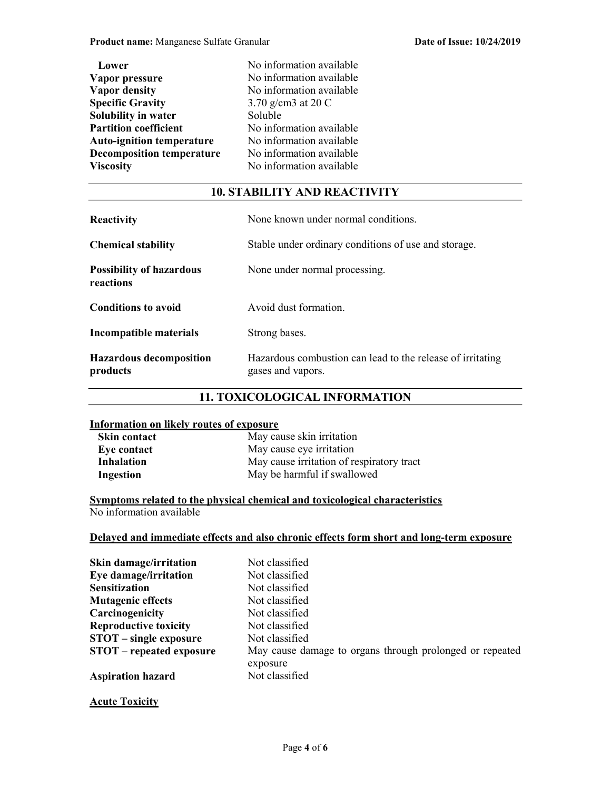| Lower                            | No information available |
|----------------------------------|--------------------------|
| Vapor pressure                   | No information available |
| <b>Vapor density</b>             | No information available |
| <b>Specific Gravity</b>          | 3.70 g/cm3 at 20 C       |
| <b>Solubility in water</b>       | Soluble                  |
| <b>Partition coefficient</b>     | No information available |
| <b>Auto-ignition temperature</b> | No information available |
| <b>Decomposition temperature</b> | No information available |
| <b>Viscosity</b>                 | No information available |

## 10. STABILITY AND REACTIVITY

| <b>Reactivity</b>                            | None known under normal conditions.                                             |  |
|----------------------------------------------|---------------------------------------------------------------------------------|--|
| <b>Chemical stability</b>                    | Stable under ordinary conditions of use and storage.                            |  |
| <b>Possibility of hazardous</b><br>reactions | None under normal processing.                                                   |  |
| <b>Conditions to avoid</b>                   | Avoid dust formation.                                                           |  |
| Incompatible materials                       | Strong bases.                                                                   |  |
| <b>Hazardous decomposition</b><br>products   | Hazardous combustion can lead to the release of irritating<br>gases and vapors. |  |

## 11. TOXICOLOGICAL INFORMATION

## Information on likely routes of exposure

| Skin contact      | May cause skin irritation                 |
|-------------------|-------------------------------------------|
| Eye contact       | May cause eye irritation                  |
| <b>Inhalation</b> | May cause irritation of respiratory tract |
| Ingestion         | May be harmful if swallowed               |

Symptoms related to the physical chemical and toxicological characteristics No information available

# Delayed and immediate effects and also chronic effects form short and long-term exposure

| Skin damage/irritation          | Not classified                                                       |
|---------------------------------|----------------------------------------------------------------------|
| Eye damage/irritation           | Not classified                                                       |
| <b>Sensitization</b>            | Not classified                                                       |
| <b>Mutagenic effects</b>        | Not classified                                                       |
| Carcinogenicity                 | Not classified                                                       |
| <b>Reproductive toxicity</b>    | Not classified                                                       |
| <b>STOT</b> – single exposure   | Not classified                                                       |
| <b>STOT</b> – repeated exposure | May cause damage to organs through prolonged or repeated<br>exposure |
| <b>Aspiration hazard</b>        | Not classified                                                       |

# **Acute Toxicity**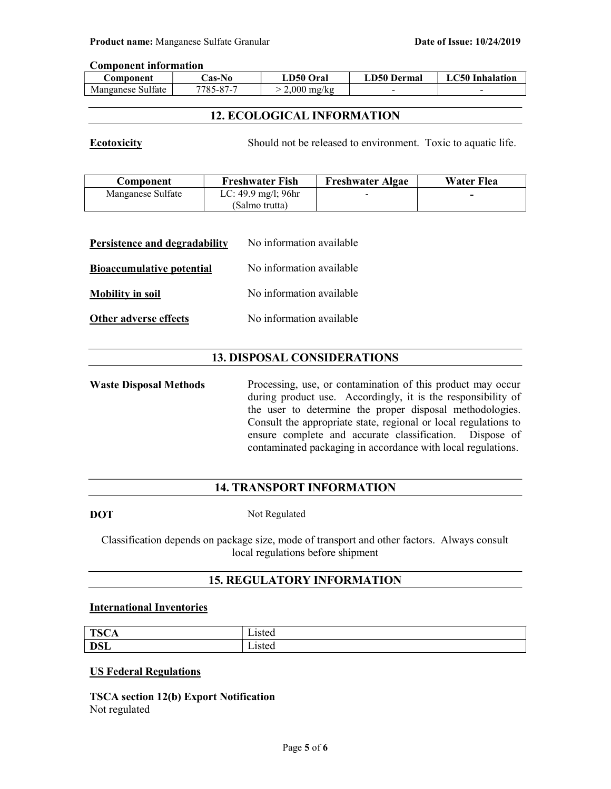#### Component information

| ن omponent        | $\triangle$ as-No $\blacksquare$ | LD50 Oral             | LD50 Dermal | <b>LC50</b> Inhalation |
|-------------------|----------------------------------|-----------------------|-------------|------------------------|
| Manganese Sulfate | 7785-87-7                        | $2,000 \text{ mg/kg}$ | -           |                        |

# 12. ECOLOGICAL INFORMATION

Ecotoxicity Should not be released to environment. Toxic to aquatic life.

| Component         | <b>Freshwater Fish</b>                   | <b>Freshwater Algae</b>  | Water Flea |
|-------------------|------------------------------------------|--------------------------|------------|
| Manganese Sulfate | LC: $49.9 \text{ mg/l}$ ; $96 \text{hr}$ | $\overline{\phantom{a}}$ |            |
|                   | (Salmo trutta)                           |                          |            |

| Persistence and degradability    | No information available |
|----------------------------------|--------------------------|
| <b>Bioaccumulative potential</b> | No information available |
| <b>Mobility in soil</b>          | No information available |
| Other adverse effects            | No information available |

# 13. DISPOSAL CONSIDERATIONS

Waste Disposal Methods Processing, use, or contamination of this product may occur during product use. Accordingly, it is the responsibility of the user to determine the proper disposal methodologies. Consult the appropriate state, regional or local regulations to ensure complete and accurate classification. Dispose of contaminated packaging in accordance with local regulations.

# 14. TRANSPORT INFORMATION

DOT Not Regulated

Classification depends on package size, mode of transport and other factors. Always consult local regulations before shipment

# 15. REGULATORY INFORMATION

## International Inventories

| TCC<br>15C <sub>2</sub> | $ \cdot$<br>. 1012<br>wut      |
|-------------------------|--------------------------------|
| <b>DSL</b>              | $ \cdot$<br>$-1010<$<br>∟isicu |

### US Federal Regulations

TSCA section 12(b) Export Notification Not regulated